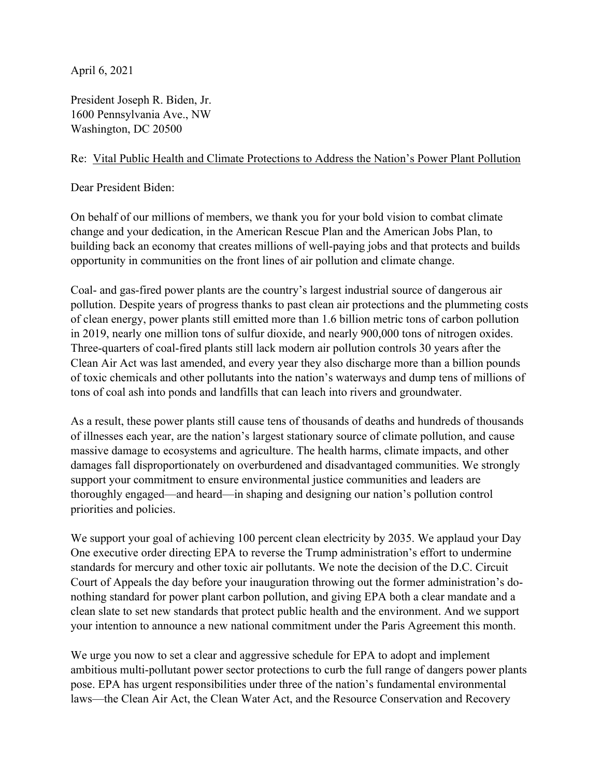April 6, 2021

President Joseph R. Biden, Jr. 1600 Pennsylvania Ave., NW Washington, DC 20500

## Re: Vital Public Health and Climate Protections to Address the Nation's Power Plant Pollution

Dear President Biden:

On behalf of our millions of members, we thank you for your bold vision to combat climate change and your dedication, in the American Rescue Plan and the American Jobs Plan, to building back an economy that creates millions of well-paying jobs and that protects and builds opportunity in communities on the front lines of air pollution and climate change.

Coal- and gas-fired power plants are the country's largest industrial source of dangerous air pollution. Despite years of progress thanks to past clean air protections and the plummeting costs of clean energy, power plants still emitted more than 1.6 billion metric tons of carbon pollution in 2019, nearly one million tons of sulfur dioxide, and nearly 900,000 tons of nitrogen oxides. Three-quarters of coal-fired plants still lack modern air pollution controls 30 years after the Clean Air Act was last amended, and every year they also discharge more than a billion pounds of toxic chemicals and other pollutants into the nation's waterways and dump tens of millions of tons of coal ash into ponds and landfills that can leach into rivers and groundwater.

As a result, these power plants still cause tens of thousands of deaths and hundreds of thousands of illnesses each year, are the nation's largest stationary source of climate pollution, and cause massive damage to ecosystems and agriculture. The health harms, climate impacts, and other damages fall disproportionately on overburdened and disadvantaged communities. We strongly support your commitment to ensure environmental justice communities and leaders are thoroughly engaged—and heard—in shaping and designing our nation's pollution control priorities and policies.

We support your goal of achieving 100 percent clean electricity by 2035. We applaud your Day One executive order directing EPA to reverse the Trump administration's effort to undermine standards for mercury and other toxic air pollutants. We note the decision of the D.C. Circuit Court of Appeals the day before your inauguration throwing out the former administration's donothing standard for power plant carbon pollution, and giving EPA both a clear mandate and a clean slate to set new standards that protect public health and the environment. And we support your intention to announce a new national commitment under the Paris Agreement this month.

We urge you now to set a clear and aggressive schedule for EPA to adopt and implement ambitious multi-pollutant power sector protections to curb the full range of dangers power plants pose. EPA has urgent responsibilities under three of the nation's fundamental environmental laws—the Clean Air Act, the Clean Water Act, and the Resource Conservation and Recovery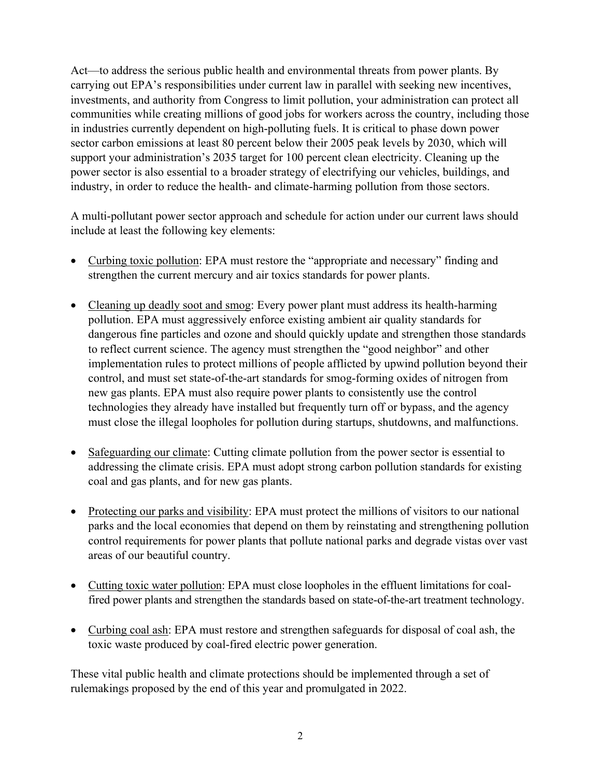Act—to address the serious public health and environmental threats from power plants. By carrying out EPA's responsibilities under current law in parallel with seeking new incentives, investments, and authority from Congress to limit pollution, your administration can protect all communities while creating millions of good jobs for workers across the country, including those in industries currently dependent on high-polluting fuels. It is critical to phase down power sector carbon emissions at least 80 percent below their 2005 peak levels by 2030, which will support your administration's 2035 target for 100 percent clean electricity. Cleaning up the power sector is also essential to a broader strategy of electrifying our vehicles, buildings, and industry, in order to reduce the health- and climate-harming pollution from those sectors.

A multi-pollutant power sector approach and schedule for action under our current laws should include at least the following key elements:

- Curbing toxic pollution: EPA must restore the "appropriate and necessary" finding and strengthen the current mercury and air toxics standards for power plants.
- Cleaning up deadly soot and smog: Every power plant must address its health-harming pollution. EPA must aggressively enforce existing ambient air quality standards for dangerous fine particles and ozone and should quickly update and strengthen those standards to reflect current science. The agency must strengthen the "good neighbor" and other implementation rules to protect millions of people afflicted by upwind pollution beyond their control, and must set state-of-the-art standards for smog-forming oxides of nitrogen from new gas plants. EPA must also require power plants to consistently use the control technologies they already have installed but frequently turn off or bypass, and the agency must close the illegal loopholes for pollution during startups, shutdowns, and malfunctions.
- Safeguarding our climate: Cutting climate pollution from the power sector is essential to addressing the climate crisis. EPA must adopt strong carbon pollution standards for existing coal and gas plants, and for new gas plants.
- Protecting our parks and visibility: EPA must protect the millions of visitors to our national parks and the local economies that depend on them by reinstating and strengthening pollution control requirements for power plants that pollute national parks and degrade vistas over vast areas of our beautiful country.
- Cutting toxic water pollution: EPA must close loopholes in the effluent limitations for coalfired power plants and strengthen the standards based on state-of-the-art treatment technology.
- Curbing coal ash: EPA must restore and strengthen safeguards for disposal of coal ash, the toxic waste produced by coal-fired electric power generation.

These vital public health and climate protections should be implemented through a set of rulemakings proposed by the end of this year and promulgated in 2022.